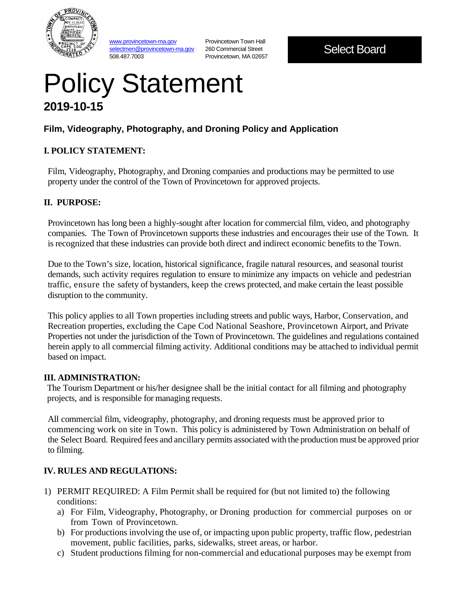

www.provincetown-ma.gov selectmen@provincetown-ma.gov 508.487.7003

Provincetown Town Hall 260 Commercial Street Provincetown, MA 02657

Select Board

# Policy Statement **2019-10-15**

# **Film, Videography, Photography, and Droning Policy and Application**

#### **I. POLICY STATEMENT:**

Film, Videography, Photography, and Droning companies and productions may be permitted to use property under the control of the Town of Provincetown for approved projects.

#### **II. PURPOSE:**

Provincetown has long been a highly-sought after location for commercial film, video, and photography companies. The Town of Provincetown supports these industries and encourages their use of the Town. It is recognized that these industries can provide both direct and indirect economic benefits to the Town.

Due to the Town's size, location, historical significance, fragile natural resources, and seasonal tourist demands, such activity requires regulation to ensure to minimize any impacts on vehicle and pedestrian traffic, ensure the safety of bystanders, keep the crews protected, and make certain the least possible disruption to the community.

This policy applies to all Town properties including streets and public ways, Harbor, Conservation, and Recreation properties, excluding the Cape Cod National Seashore, Provincetown Airport, and Private Properties not under the jurisdiction of the Town of Provincetown. The guidelines and regulations contained herein apply to all commercial filming activity. Additional conditions may be attached to individual permit based on impact.

#### **III. ADMINISTRATION:**

The Tourism Department or his/her designee shall be the initial contact for all filming and photography projects, and is responsible for managing requests.

All commercial film, videography, photography, and droning requests must be approved prior to commencing work on site in Town. This policy is administered by Town Administration on behalf of the Select Board. Required fees and ancillary permits associated with the production must be approved prior to filming.

## **IV. RULES AND REGULATIONS:**

- 1) PERMIT REQUIRED: A Film Permit shall be required for (but not limited to) the following conditions:
	- a) For Film, Videography, Photography, or Droning production for commercial purposes on or from Town of Provincetown.
	- b) For productions involving the use of, or impacting upon public property, traffic flow, pedestrian movement, public facilities, parks, sidewalks, street areas, or harbor.
	- c) Student productions filming for non-commercial and educational purposes may be exempt from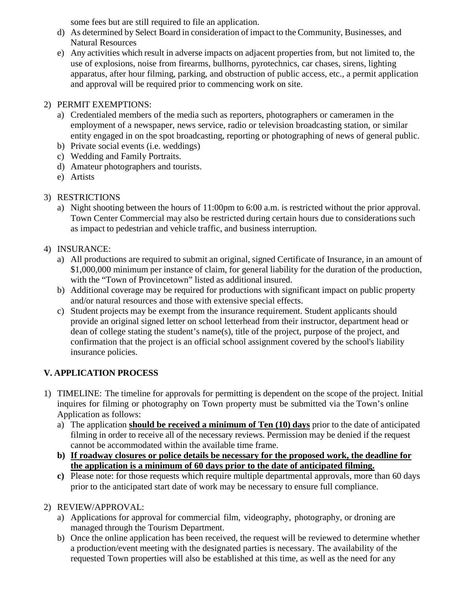some fees but are still required to file an application.

- d) As determined by Select Board in consideration of impact to the Community, Businesses, and Natural Resources
- e) Any activities which result in adverse impacts on adjacent properties from, but not limited to, the use of explosions, noise from firearms, bullhorns, pyrotechnics, car chases, sirens, lighting apparatus, after hour filming, parking, and obstruction of public access, etc., a permit application and approval will be required prior to commencing work on site.

### 2) PERMIT EXEMPTIONS:

- a) Credentialed members of the media such as reporters, photographers or cameramen in the employment of a newspaper, news service, radio or television broadcasting station, or similar entity engaged in on the spot broadcasting, reporting or photographing of news of general public.
- b) Private social events (i.e. weddings)
- c) Wedding and Family Portraits.
- d) Amateur photographers and tourists.
- e) Artists
- 3) RESTRICTIONS
	- a) Night shooting between the hours of 11:00pm to 6:00 a.m. is restricted without the prior approval. Town Center Commercial may also be restricted during certain hours due to considerations such as impact to pedestrian and vehicle traffic, and business interruption.
- 4) INSURANCE:
	- a) All productions are required to submit an original, signed Certificate of Insurance, in an amount of \$1,000,000 minimum per instance of claim, for general liability for the duration of the production, with the "Town of Provincetown" listed as additional insured.
	- b) Additional coverage may be required for productions with significant impact on public property and/or natural resources and those with extensive special effects.
	- c) Student projects may be exempt from the insurance requirement. Student applicants should provide an original signed letter on school letterhead from their instructor, department head or dean of college stating the student's name(s), title of the project, purpose of the project, and confirmation that the project is an official school assignment covered by the school's liability insurance policies.

## **V. APPLICATION PROCESS**

- 1) TIMELINE: The timeline for approvals for permitting is dependent on the scope of the project. Initial inquires for filming or photography on Town property must be submitted via the Town's online Application as follows:
	- a) The application **should be received a minimum of Ten (10) days** prior to the date of anticipated filming in order to receive all of the necessary reviews. Permission may be denied if the request cannot be accommodated within the available time frame.
	- **b) If roadway closures or police details be necessary for the proposed work, the deadline for the application is a minimum of 60 days prior to the date of anticipated filming.**
	- **c)** Please note: for those requests which require multiple departmental approvals, more than 60 days prior to the anticipated start date of work may be necessary to ensure full compliance.
- 2) REVIEW/APPROVAL:
	- a) Applications for approval for commercial film, videography, photography, or droning are managed through the Tourism Department.
	- b) Once the online application has been received, the request will be reviewed to determine whether a production/event meeting with the designated parties is necessary. The availability of the requested Town properties will also be established at this time, as well as the need for any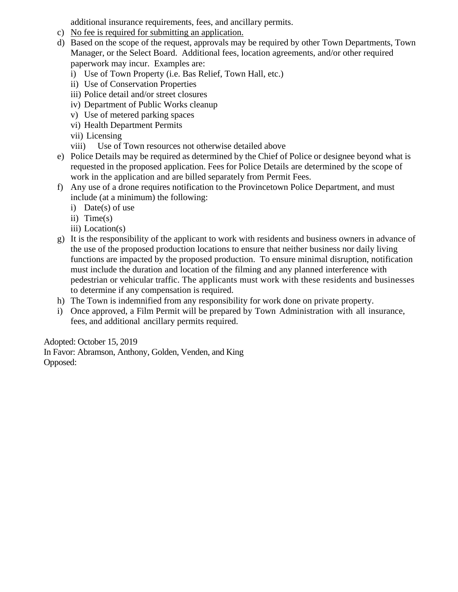additional insurance requirements, fees, and ancillary permits.

- c) No fee is required for submitting an application.
- d) Based on the scope of the request, approvals may be required by other Town Departments, Town Manager, or the Select Board. Additional fees, location agreements, and/or other required paperwork may incur. Examples are:
	- i) Use of Town Property (i.e. Bas Relief, Town Hall, etc.)
	- ii) Use of Conservation Properties
	- iii) Police detail and/or street closures
	- iv) Department of Public Works cleanup
	- v) Use of metered parking spaces
	- vi) Health Department Permits
	- vii) Licensing
	- viii) Use of Town resources not otherwise detailed above
- e) Police Details may be required as determined by the Chief of Police or designee beyond what is requested in the proposed application. Fees for Police Details are determined by the scope of work in the application and are billed separately from Permit Fees.
- f) Any use of a drone requires notification to the Provincetown Police Department, and must include (at a minimum) the following:
	- i) Date(s) of use
	- ii) Time(s)
	- iii) Location(s)
- g) It is the responsibility of the applicant to work with residents and business owners in advance of the use of the proposed production locations to ensure that neither business nor daily living functions are impacted by the proposed production. To ensure minimal disruption, notification must include the duration and location of the filming and any planned interference with pedestrian or vehicular traffic. The applicants must work with these residents and businesses to determine if any compensation is required.
- h) The Town is indemnified from any responsibility for work done on private property.
- i) Once approved, a Film Permit will be prepared by Town Administration with all insurance, fees, and additional ancillary permits required.

Adopted: October 15, 2019

In Favor: Abramson, Anthony, Golden, Venden, and King Opposed: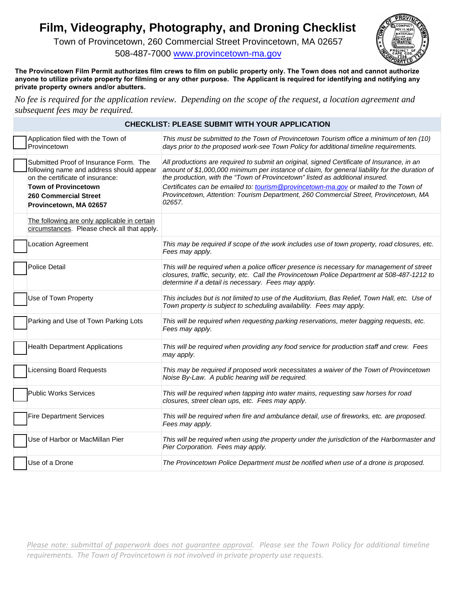# **Film, Videography, Photography, and Droning Checklist**

Town of Provincetown, 260 Commercial Street Provincetown, MA 02657

508-487-7000 www.provincetown-ma.gov

**The Provincetown Film Permit authorizes film c[rews to film on public property only](http://www.provincetown-ma.gov/). The Town does not and cannot authorize anyone to utilize private property for filming or any other purpose. The Applicant is required for identifying and notifying any private property owners and/or abutters.**

*No fee is required for the application review. Depending on the scope of the request, a location agreement and subsequent fees may be required.* 

#### **CHECKLIST: PLEASE SUBMIT WITH YOUR APPLICATION**

| Application filed with the Town of<br>Provincetown                                                                                                                                                              | This must be submitted to the Town of Provincetown Tourism office a minimum of ten (10)<br>days prior to the proposed work-see Town Policy for additional timeline requirements.                                                                                                                                                                                                                                                                                        |
|-----------------------------------------------------------------------------------------------------------------------------------------------------------------------------------------------------------------|-------------------------------------------------------------------------------------------------------------------------------------------------------------------------------------------------------------------------------------------------------------------------------------------------------------------------------------------------------------------------------------------------------------------------------------------------------------------------|
| Submitted Proof of Insurance Form. The<br>following name and address should appear<br>on the certificate of insurance:<br><b>Town of Provincetown</b><br><b>260 Commercial Street</b><br>Provincetown, MA 02657 | All productions are required to submit an original, signed Certificate of Insurance, in an<br>amount of \$1,000,000 minimum per instance of claim, for general liability for the duration of<br>the production, with the "Town of Provincetown" listed as additional insured.<br>Certificates can be emailed to: tourism@provincetown-ma.gov or mailed to the Town of<br>Provincetown, Attention: Tourism Department, 260 Commercial Street, Provincetown, MA<br>02657. |
| The following are only applicable in certain<br>circumstances. Please check all that apply.                                                                                                                     |                                                                                                                                                                                                                                                                                                                                                                                                                                                                         |
| Location Agreement                                                                                                                                                                                              | This may be required if scope of the work includes use of town property, road closures, etc.<br>Fees may apply.                                                                                                                                                                                                                                                                                                                                                         |
| <b>Police Detail</b>                                                                                                                                                                                            | This will be required when a police officer presence is necessary for management of street<br>closures, traffic, security, etc. Call the Provincetown Police Department at 508-487-1212 to<br>determine if a detail is necessary. Fees may apply.                                                                                                                                                                                                                       |
| Use of Town Property                                                                                                                                                                                            | This includes but is not limited to use of the Auditorium, Bas Relief, Town Hall, etc. Use of<br>Town property is subject to scheduling availability. Fees may apply.                                                                                                                                                                                                                                                                                                   |
| Parking and Use of Town Parking Lots                                                                                                                                                                            | This will be required when requesting parking reservations, meter bagging requests, etc.<br>Fees may apply.                                                                                                                                                                                                                                                                                                                                                             |
| <b>Health Department Applications</b>                                                                                                                                                                           | This will be required when providing any food service for production staff and crew. Fees<br>may apply.                                                                                                                                                                                                                                                                                                                                                                 |
| <b>Licensing Board Requests</b>                                                                                                                                                                                 | This may be required if proposed work necessitates a waiver of the Town of Provincetown<br>Noise By-Law. A public hearing will be required.                                                                                                                                                                                                                                                                                                                             |
| <b>Public Works Services</b>                                                                                                                                                                                    | This will be required when tapping into water mains, requesting saw horses for road<br>closures, street clean ups, etc. Fees may apply.                                                                                                                                                                                                                                                                                                                                 |
| <b>Fire Department Services</b>                                                                                                                                                                                 | This will be required when fire and ambulance detail, use of fireworks, etc. are proposed.<br>Fees may apply.                                                                                                                                                                                                                                                                                                                                                           |
| Use of Harbor or MacMillan Pier                                                                                                                                                                                 | This will be required when using the property under the jurisdiction of the Harbormaster and<br>Pier Corporation. Fees may apply.                                                                                                                                                                                                                                                                                                                                       |
| Use of a Drone                                                                                                                                                                                                  | The Provincetown Police Department must be notified when use of a drone is proposed.                                                                                                                                                                                                                                                                                                                                                                                    |

Please note: submittal of paperwork does not guarantee approval. Please see the Town Policy for additional timeline *requirements. The Town of Provincetown is not involved in private property use requests.*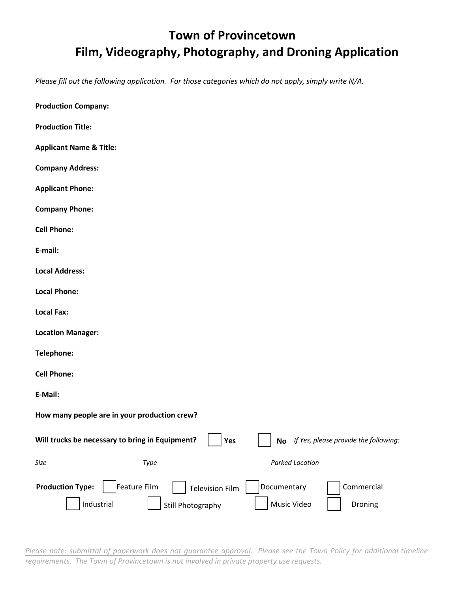# **Town of Provincetown Film, Videography, Photography, and Droning Application**

*Please fill out the following application. For those categories which do not apply, simply write N/A.* 

| <b>Production Company:</b>                                                                                                                                         |
|--------------------------------------------------------------------------------------------------------------------------------------------------------------------|
| <b>Production Title:</b>                                                                                                                                           |
| <b>Applicant Name &amp; Title:</b>                                                                                                                                 |
| <b>Company Address:</b>                                                                                                                                            |
| <b>Applicant Phone:</b>                                                                                                                                            |
| <b>Company Phone:</b>                                                                                                                                              |
| <b>Cell Phone:</b>                                                                                                                                                 |
| E-mail:                                                                                                                                                            |
| <b>Local Address:</b>                                                                                                                                              |
| <b>Local Phone:</b>                                                                                                                                                |
| <b>Local Fax:</b>                                                                                                                                                  |
| <b>Location Manager:</b>                                                                                                                                           |
| Telephone:                                                                                                                                                         |
| <b>Cell Phone:</b>                                                                                                                                                 |
| E-Mail:                                                                                                                                                            |
| How many people are in your production crew?                                                                                                                       |
| Will trucks be necessary to bring in Equipment?<br>If Yes, please provide the following:<br>Yes<br>No                                                              |
| <b>Parked Location</b><br>Size<br>Type                                                                                                                             |
| <b>Production Type:</b><br>Feature Film<br>Documentary<br>Commercial<br><b>Television Film</b><br>Music Video<br>Industrial<br>Droning<br><b>Still Photography</b> |

Please note: submittal of paperwork does not guarantee approval. Please see the Town Policy for additional timeline *requirements. The Town of Provincetown is not involved in private property use requests.*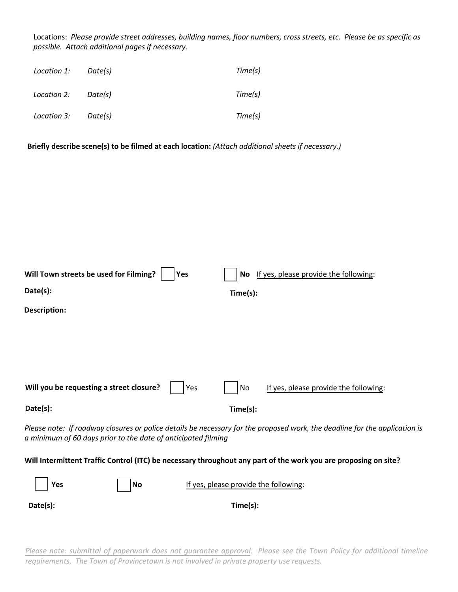Locations: *Please provide street addresses, building names, floor numbers, cross streets, etc. Please be as specific as possible. Attach additional pages if necessary.*

| Location 1: | Date(s) | Time(s) |
|-------------|---------|---------|
| Location 2: | Date(s) | Time(s) |
| Location 3: | Date(s) | Time(s) |

**Briefly describe scene(s) to be filmed at each location:** *(Attach additional sheets if necessary.)*

| Will Town streets be used for Filming?<br>Yes<br>Date(s):<br>Description: | If yes, please provide the following:<br>No.<br>Time(s):                                                                   |
|---------------------------------------------------------------------------|----------------------------------------------------------------------------------------------------------------------------|
|                                                                           |                                                                                                                            |
| Will you be requesting a street closure?<br>Yes                           | If yes, please provide the following:<br>No                                                                                |
| Date(s):                                                                  | Time(s):                                                                                                                   |
| a minimum of 60 days prior to the date of anticipated filming             | Please note: If roadway closures or police details be necessary for the proposed work, the deadline for the application is |

#### Will Intermittent Traffic Control (ITC) be necessary throughout any part of the work you are proposing on site?

| $ $ Yes  | $\vert$  No | If yes, please provide the following: |
|----------|-------------|---------------------------------------|
| Date(s): |             | Time(s):                              |

Please note: submittal of paperwork does not guarantee approval. Please see the Town Policy for additional timeline *requirements. The Town of Provincetown is not involved in private property use requests.*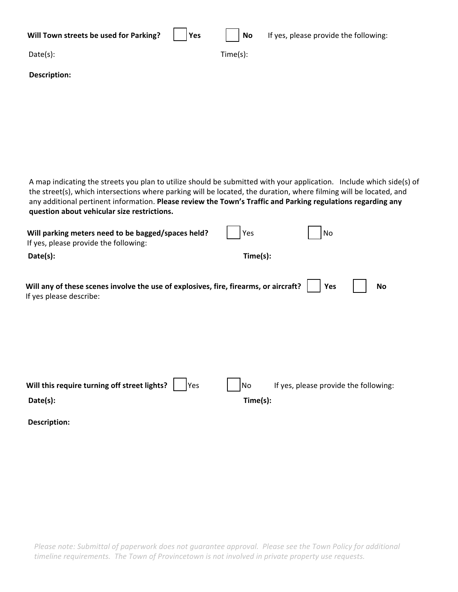| Will Town streets be used for Parking? | Yes | <b>No</b> | If yes, please provide the following: |
|----------------------------------------|-----|-----------|---------------------------------------|
| Date(s):                               |     | Time(s):  |                                       |
| <b>Description:</b>                    |     |           |                                       |
|                                        |     |           |                                       |

A map indicating the streets you plan to utilize should be submitted with your application. Include which side(s) of the street(s), which intersections where parking will be located, the duration, where filming will be located, and any additional pertinent information. **Please review the Town's Traffic and Parking regulations regarding any question about vehicular size restrictions.** 

| Time(s):<br>Date(s):<br>Will any of these scenes involve the use of explosives, fire, firearms, or aircraft?<br>Yes<br>No<br>If yes please describe:<br>Will this require turning off street lights?<br>If yes, please provide the following:<br>No<br>Yes<br>Time(s):<br>Date(s):<br>Description: | Will parking meters need to be bagged/spaces held?<br>If yes, please provide the following: | Yes | No |  |
|----------------------------------------------------------------------------------------------------------------------------------------------------------------------------------------------------------------------------------------------------------------------------------------------------|---------------------------------------------------------------------------------------------|-----|----|--|
|                                                                                                                                                                                                                                                                                                    |                                                                                             |     |    |  |
|                                                                                                                                                                                                                                                                                                    |                                                                                             |     |    |  |
|                                                                                                                                                                                                                                                                                                    |                                                                                             |     |    |  |
|                                                                                                                                                                                                                                                                                                    |                                                                                             |     |    |  |
|                                                                                                                                                                                                                                                                                                    |                                                                                             |     |    |  |